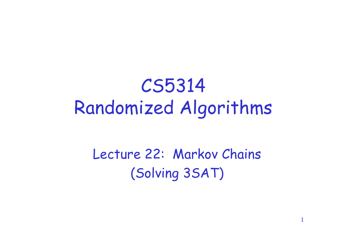#### CS5314 Randomized Algorithms

#### Lecture 22: Markov Chains (Solving 3SAT)

1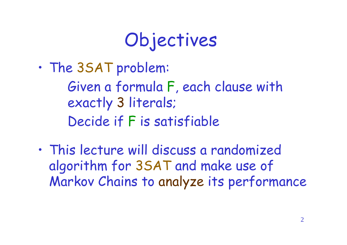### Objectives

•The 3SAT problem:

Given a formula F, each clause with exactly 3 literals; Decide if F is satisfiable

•This lecture will discuss a randomized algorithm for 3SAT and make use of Markov Chains to analyze its performance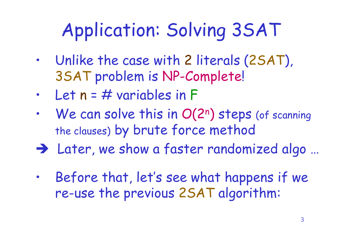# Application: Solving 3SAT

- Unlike the case with 2 literals (2SAT), 3SAT problem is NP-Complete!
- Let  $n = #$  variables in F
- We can solve this in O(2<sup>n</sup>) steps (of scanning the clauses) by brute force method
- Later, we show a faster randomized algo …
- Before that, let's see what happens if we re-use the previous 2SAT algorithm: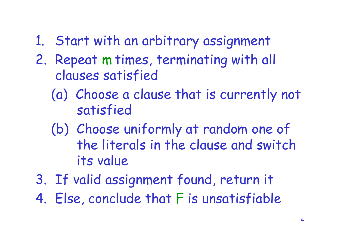- 1. Start with an arbitrary assignment
- 2. Repeat m times, terminating with all clauses satisfied
	- (a) Choose a clause that is currently not satisfied
	- (b) Choose uniformly at random one of the literals in the clause and switch its value
- 3. If valid assignment found, return it
- 4. Else, conclude that F is unsatisfiable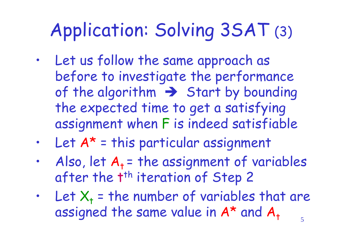### Application: Solving 3SAT (3)

- Let us follow the same approach as before to investigate the performance of the algorithm  $\rightarrow$  Start by bounding the expected time to get a satisfying assignment when F is indeed satisfiable
- Let  $A^*$  = this particular assignment
- Also, let  $A_t$  = the assignment of variables after the t<sup>th</sup> iteration of Step 2
- 5 • Let  $X_t$  = the number of variables that are assigned the same value in  $A^*$  and  $A_t$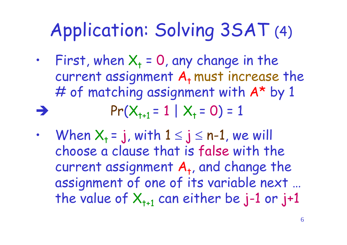#### Application: Solving 3SAT (4)

- First, when  $X_t = 0$ , any change in the current assignment  $A_t$  must increase the # of matching assignment with  $A^*$  by 1  $Pr(X_{t+1} = 1 | X_t = 0) = 1$
- When  $X_t = j$ , with  $1 \le j \le n-1$ , we will choose a clause that is false with the current assignment  $A_t$ , and change the assignment of one of its variable next … the value of  $X_{t+1}$  can either be j-1 or j+1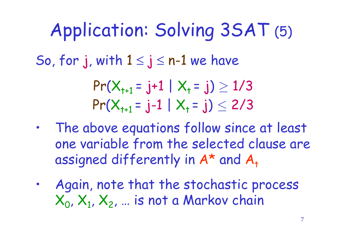So, for j, with  $1 \le j \le n-1$  we have  $Pr(X_{t+1} = j+1 | X_t = j) \ge 1/3$  $Pr(X_{t+1} = j-1 | X_t = j) \leq 2/3$ Application: Solving 3SAT (5)

- The above equations follow since at least one variable from the selected clause are assigned differently in  $A^*$  and  $A_+$
- Again, note that the stochastic process  $\mathsf{X}_{\mathsf{0}}$ ,  $\mathsf{X}_{\mathsf{1}}$ ,  $\mathsf{X}_{\mathsf{2}}$ , ... is not a Markov chain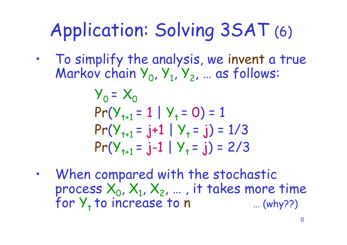## Application: Solving 3SAT (6)

• To simplify the analysis, we invent a true Markov chain  $Y_0, Y_1, Y_2, ...$  as follows:

$$
Y_0 = X_0
$$
  
Pr(Y<sub>t+1</sub> = 1 | Y<sub>t</sub> = 0) = 1  
Pr(Y<sub>t+1</sub> = j+1 | Y<sub>t</sub> = j) = 1/3  
Pr(Y<sub>t+1</sub> = j-1 | Y<sub>t</sub> = j) = 2/3

When compared with the stochastic process  $X_0, X_1, X_2, ...$  , it takes more time for  $Y_+$  to increase to n  $...$  (why??)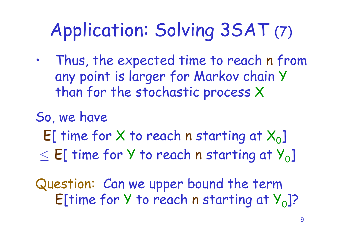# Application: Solving 3SAT (7)

• Thus, the expected time to reach n from any point is larger for Markov chain Y than for the stochastic process X

So, we have

 $E[$  time for X to reach n starting at  $X_{0}]$ 

 $\leq$  E[ time for Y to reach n starting at  $Y_{0}$ ]

Question: Can we upper bound the term E[time for  $Y$  to reach n starting at  $Y_0$ ]?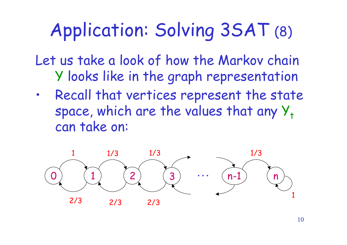#### Application: Solving 3SAT (8)

Let us take a look of how the Markov chain Y looks like in the graph representation

• Recall that vertices represent the state space, which are the values that any  $Y_t$ can take on:

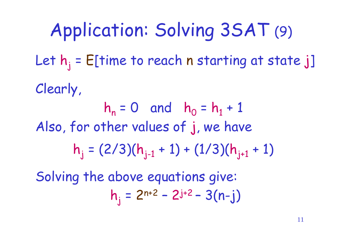Let  $h_i$  = E[time to reach n starting at state j] Clearly,  $h_n = 0$  and  $h_0 = h_1 + 1$ Also, for other values of j, we have  $h_j = (2/3)(h_{j-1} + 1) + (1/3)(h_{j+1} + 1)$ Solving the above equations give:  $h_j = 2^{n+2} - 2^{j+2} - 3(n-j)$ Application: Solving 3SAT (9)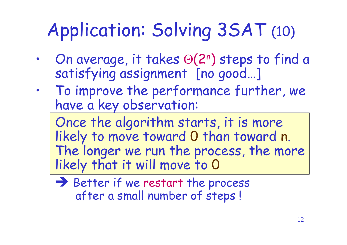# Application: Solving 3SAT (10)

- On average, it takes  $\Theta(2^n)$  steps to find a satisfying assignment [no good…]
- To improve the performance further, we have a key observation:

Once the algorithm starts, it is more likely to move toward 0 than toward n. The longer we run the process, the more likely that it will move to 0

 $\rightarrow$  Better if we restart the process after a small number of steps !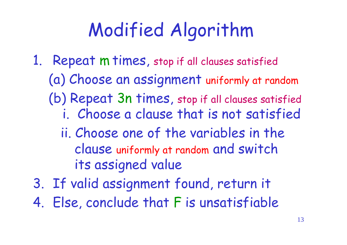#### Modified Algorithm

1. Repeat m times, stop if all clauses satisfied (a) Choose an assignment uniformly at random (b) Repeat 3n times, stop if all clauses satisfied i. Choose a clause that is not satisfied ii. Choose one of the variables in the clause uniformly at random and switch

its assigned value

- 3. If valid assignment found, return it
- 4. Else, conclude that F is unsatisfiable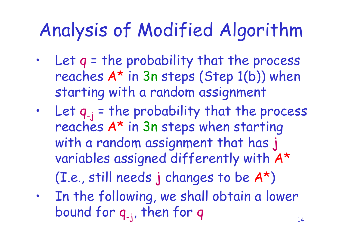#### Analysis of Modified Algorithm

- Let  $q$  = the probability that the process reaches A\* in 3n steps (Step 1(b)) when starting with a random assignment
- Let  $q_{-j}$  = the probability that the process reaches A\* in 3n steps when starting with a random assignment that has j variables assigned differently with A\* (I.e., still needs j changes to be A\*)
- In the following, we shall obtain a lower bound for q-j , then for q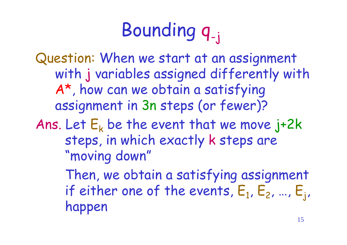# Bounding q-j

Question: When we start at an assignment with j variables assigned differently with A\*, how can we obtain a satisfying assignment in 3n steps (or fewer)? Ans. Let  $E_k$  be the event that we move j+2k steps, in which exactly k steps are "moving down" Then, we obtain a satisfying assignment

if either one of the events,  $\mathsf{E}_1$ ,  $\mathsf{E}_2$ , …,  $\mathsf{E}_\mathsf{j}$ , happen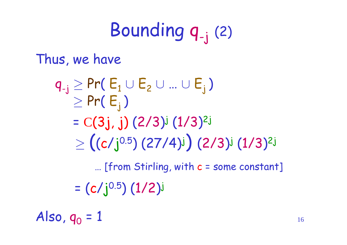#### Bounding q-j (2)

Thus, we have

$$
q_{-j} \ge Pr(E_1 \cup E_2 \cup ... \cup E_j)
$$
  
\n
$$
\ge Pr(E_j)
$$
  
\n
$$
= C(3j, j) (2/3)^j (1/3)^{2j}
$$
  
\n
$$
\ge ((c/j^{0.5}) (27/4)^j) (2/3)^j (1/3)^{2j}
$$

…[from Stirling, with c = some constant]

 $= (c/j^{0.5}) (1/2)$ j

Also,  $q_0 = 1$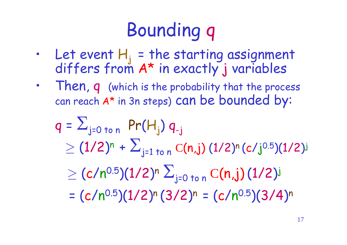# Bounding q

- Let event  $H_j$  = the starting assignment differs from A\* in exactly j variables
- Then, q (which is the probability that the process can reach A\* in 3n steps) can be bounded by:

$$
q = \sum_{j=0 \text{ to } n} Pr(H_j) q_{-j}
$$
  
\n
$$
\geq (1/2)^n + \sum_{j=1 \text{ to } n} C(n,j) (1/2)^n (c/j^{0.5})(1/2)^j
$$
  
\n
$$
\geq (c/n^{0.5})(1/2)^n \sum_{j=0 \text{ to } n} C(n,j) (1/2)^j
$$
  
\n=  $(c/n^{0.5})(1/2)^n (3/2)^n = (c/n^{0.5})(3/4)^n$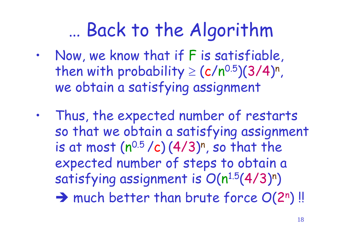#### …Back to the Algorithm

- Now, we know that if F is satisfiable, then with probability  $\geq (c/n^{0.5})(3/4)^n$ , we obtain a satisfying assignment
- Thus, the expected number of restarts so that we obtain a satisfying assignment is at most  $(n^{0.5}/c)(4/3)^n$ , so that the expected number of steps to obtain a satisfying assignment is  $O(n^{1.5}(4/3)^n)$  $\rightarrow$  much better than brute force  $O(2^n)$ !!